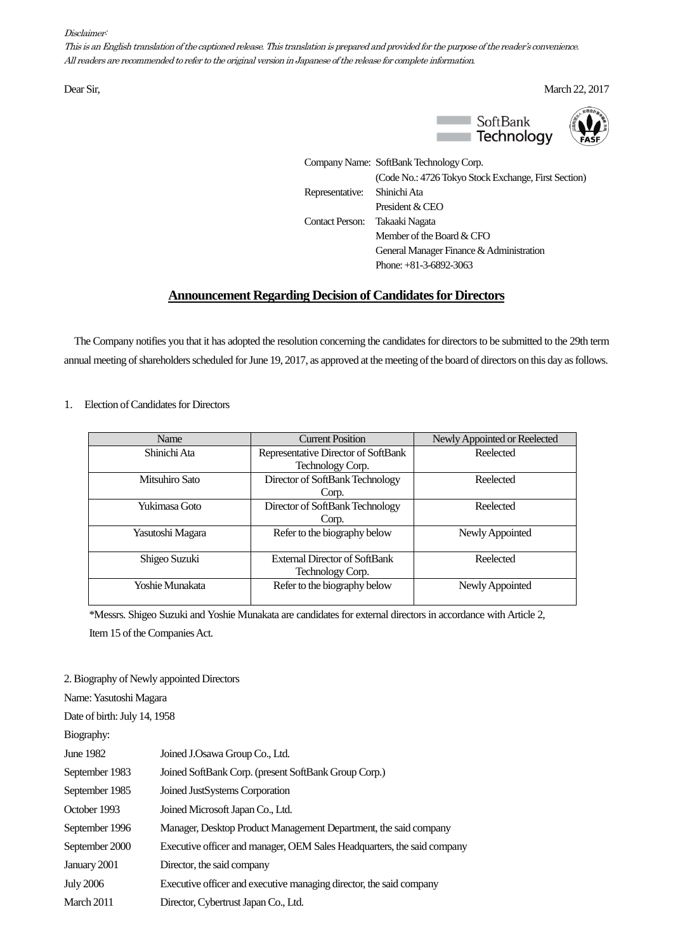## Disclaimer:

This is an English translation of the captioned release. This translation is prepared and provided for the purpose of the reader's convenience. All readers are recommended to refer to the original version in Japanese of the release for complete information.

Dear Sir, March 22, 2017



Company Name: SoftBank Technology Corp. (Code No.: 4726 Tokyo Stock Exchange, First Section) Representative: Shinichi Ata President & CEO Contact Person: Takaaki Nagata Member of the Board & CFO General Manager Finance & Administration Phone: +81-3-6892-3063

## **Announcement Regarding Decision of Candidates for Directors**

The Company notifies you that it has adopted the resolution concerning the candidates for directors to be submitted to the 29th term annual meeting of shareholders scheduled for June 19, 2017, as approved at the meeting of the board of directors on this day as follows.

## 1. Election of Candidates for Directors

| Name             | <b>Current Position</b>              | Newly Appointed or Reelected |
|------------------|--------------------------------------|------------------------------|
| Shinichi Ata     | Representative Director of SoftBank  | Reelected                    |
|                  | Technology Corp.                     |                              |
| Mitsuhiro Sato   | Director of SoftBank Technology      | Reelected                    |
|                  | Corp.                                |                              |
| Yukimasa Goto    | Director of SoftBank Technology      | Reelected                    |
|                  | Corp.                                |                              |
| Yasutoshi Magara | Refer to the biography below         | Newly Appointed              |
|                  |                                      |                              |
| Shigeo Suzuki    | <b>External Director of SoftBank</b> | Reelected                    |
|                  | Technology Corp.                     |                              |
| Yoshie Munakata  | Refer to the biography below         | Newly Appointed              |
|                  |                                      |                              |

\*Messrs. Shigeo Suzuki and Yoshie Munakata are candidates for external directors in accordance with Article 2, Item 15 of the Companies Act.

2. Biography of Newly appointed Directors

Name: Yasutoshi Magara Date of birth: July 14, 1958 Biography: June 1982 Joined J.Osawa Group Co., Ltd. September 1983 Joined SoftBank Corp.(present SoftBank Group Corp.) September 1985 Joined JustSystems Corporation October 1993 Joined Microsoft Japan Co., Ltd. September 1996 Manager, Desktop Product Management Department, the said company September 2000 Executive officer and manager, OEM Sales Headquarters, the said company January 2001 Director, the said company July 2006 Executive officer and executive managing director, the said company March 2011 Director,Cybertrust Japan Co., Ltd.